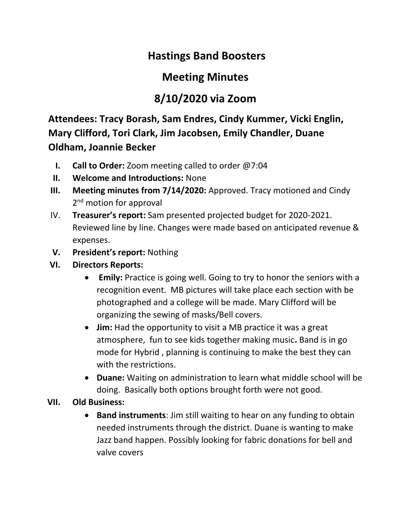## **Hastings Band Boosters**

## **Meeting Minutes**

## **8/10/2020 via Zoom**

**Attendees: Tracy Borash, Sam Endres, Cindy Kummer, Vicki Englin, Mary Clifford, Tori Clark, Jim Jacobsen, Emily Chandler, Duane Oldham, Joannie Becker**

- **I. Call to Order:** Zoom meeting called to order @7:04
- **II. Welcome and Introductions:** None
- **III. Meeting minutes from 7/14/2020:** Approved. Tracy motioned and Cindy 2<sup>nd</sup> motion for approval
- IV. **Treasurer's report:** Sam presented projected budget for 2020-2021. Reviewed line by line. Changes were made based on anticipated revenue & expenses.
- **V. President's report:** Nothing
- **VI. Directors Reports:** 
	- **Emily:** Practice is going well. Going to try to honor the seniors with a recognition event. MB pictures will take place each section with be photographed and a college will be made. Mary Clifford will be organizing the sewing of masks/Bell covers.
	- **Jim:** Had the opportunity to visit a MB practice it was a great atmosphere, fun to see kids together making music**.** Band is in go mode for Hybrid , planning is continuing to make the best they can with the restrictions.
	- **Duane:** Waiting on administration to learn what middle school will be doing. Basically both options brought forth were not good.
- **VII. Old Business:** 
	- **Band instruments**: Jim still waiting to hear on any funding to obtain needed instruments through the district. Duane is wanting to make Jazz band happen. Possibly looking for fabric donations for bell and valve covers